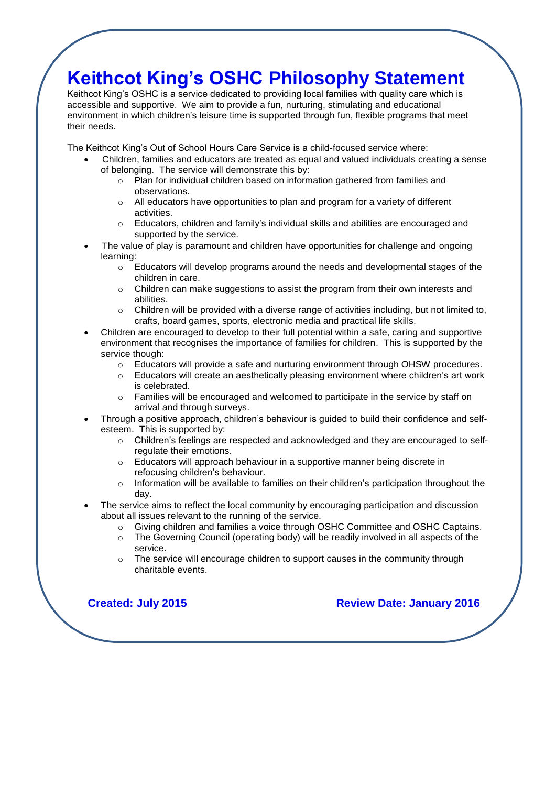## **Keithcot King's OSHC Philosophy Statement**

Keithcot King's OSHC is a service dedicated to providing local families with quality care which is accessible and supportive. We aim to provide a fun, nurturing, stimulating and educational environment in which children's leisure time is supported through fun, flexible programs that meet their needs.

The Keithcot King's Out of School Hours Care Service is a child-focused service where:

- Children, families and educators are treated as equal and valued individuals creating a sense of belonging. The service will demonstrate this by:
	- o Plan for individual children based on information gathered from families and observations.
	- $\circ$  All educators have opportunities to plan and program for a variety of different activities.
	- $\circ$  Educators, children and family's individual skills and abilities are encouraged and supported by the service.
- The value of play is paramount and children have opportunities for challenge and ongoing learning:
	- $\circ$  Educators will develop programs around the needs and developmental stages of the children in care.
	- $\circ$  Children can make suggestions to assist the program from their own interests and abilities.
	- $\circ$  Children will be provided with a diverse range of activities including, but not limited to, crafts, board games, sports, electronic media and practical life skills.
- Children are encouraged to develop to their full potential within a safe, caring and supportive environment that recognises the importance of families for children. This is supported by the service though:
	- $\circ$  Educators will provide a safe and nurturing environment through OHSW procedures.
	- o Educators will create an aesthetically pleasing environment where children's art work is celebrated.
	- $\circ$  Families will be encouraged and welcomed to participate in the service by staff on arrival and through surveys.
- Through a positive approach, children's behaviour is guided to build their confidence and selfesteem. This is supported by:
	- $\circ$  Children's feelings are respected and acknowledged and they are encouraged to selfregulate their emotions.
	- o Educators will approach behaviour in a supportive manner being discrete in refocusing children's behaviour.
	- o Information will be available to families on their children's participation throughout the day.
- The service aims to reflect the local community by encouraging participation and discussion about all issues relevant to the running of the service.
	- o Giving children and families a voice through OSHC Committee and OSHC Captains.
	- $\circ$  The Governing Council (operating body) will be readily involved in all aspects of the service.
	- $\circ$  The service will encourage children to support causes in the community through charitable events.

**Created: July 2015 Review Date: January 2016**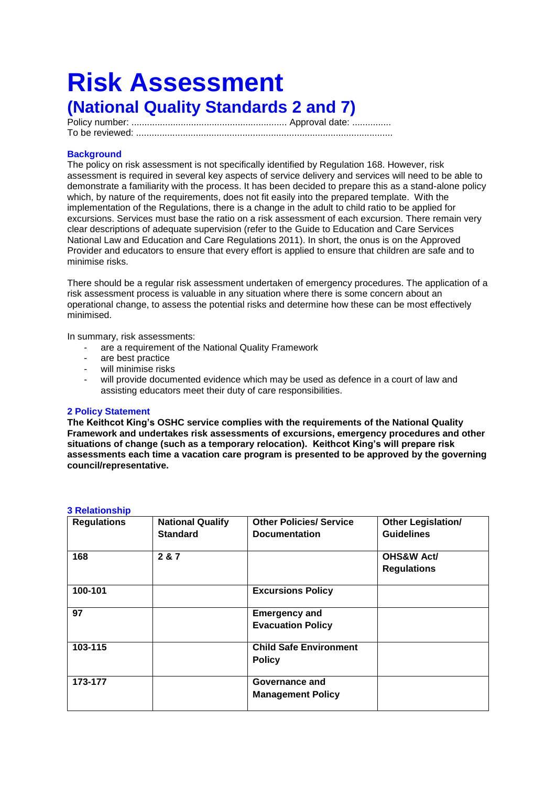# **Risk Assessment (National Quality Standards 2 and 7)**

Policy number: ............................................................ Approval date: ............... To be reviewed: ...................................................................................................**Risk Assessment** 

### **Background**

The policy on risk assessment is not specifically identified by Regulation 168. However, risk assessment is required in several key aspects of service delivery and services will need to be able to demonstrate a familiarity with the process. It has been decided to prepare this as a stand-alone policy which, by nature of the requirements, does not fit easily into the prepared template. With the implementation of the Regulations, there is a change in the adult to child ratio to be applied for excursions. Services must base the ratio on a risk assessment of each excursion. There remain very clear descriptions of adequate supervision (refer to the Guide to Education and Care Services National Law and Education and Care Regulations 2011). In short, the onus is on the Approved Provider and educators to ensure that every effort is applied to ensure that children are safe and to minimise risks.

There should be a regular risk assessment undertaken of emergency procedures. The application of a risk assessment process is valuable in any situation where there is some concern about an operational change, to assess the potential risks and determine how these can be most effectively minimised.

In summary, risk assessments:

- are a requirement of the National Quality Framework
- are best practice
- will minimise risks
- will provide documented evidence which may be used as defence in a court of law and assisting educators meet their duty of care responsibilities.

#### **2 Policy Statement**

**The Keithcot King's OSHC service complies with the requirements of the National Quality Framework and undertakes risk assessments of excursions, emergency procedures and other situations of change (such as a temporary relocation). Keithcot King's will prepare risk assessments each time a vacation care program is presented to be approved by the governing council/representative.**

#### **3 Relationship**

| <b>Regulations</b> | <b>National Qualify</b><br><b>Standard</b> | <b>Other Policies/ Service</b><br><b>Documentation</b> | <b>Other Legislation/</b><br><b>Guidelines</b> |
|--------------------|--------------------------------------------|--------------------------------------------------------|------------------------------------------------|
| 168                | 2 & 7                                      |                                                        | <b>OHS&amp;W Act/</b><br><b>Regulations</b>    |
| 100-101            |                                            | <b>Excursions Policy</b>                               |                                                |
| 97                 |                                            | <b>Emergency and</b><br><b>Evacuation Policy</b>       |                                                |
| 103-115            |                                            | <b>Child Safe Environment</b><br><b>Policy</b>         |                                                |
| 173-177            |                                            | Governance and<br><b>Management Policy</b>             |                                                |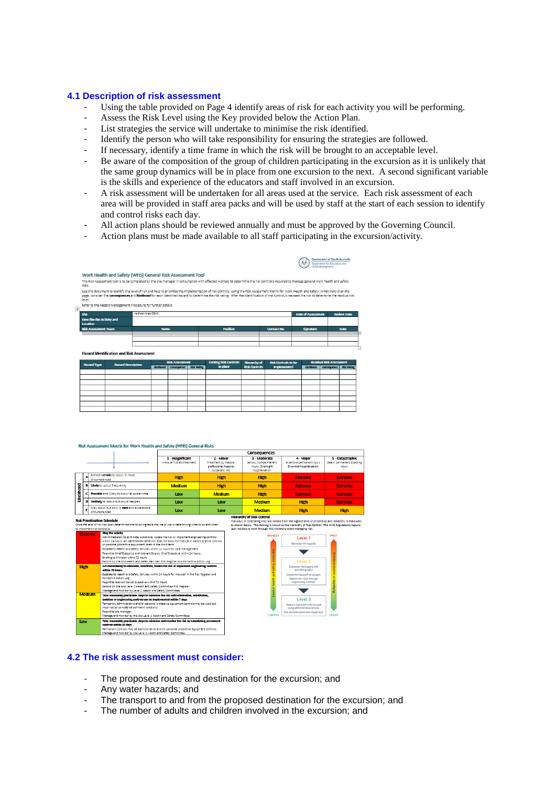#### **4.1 Description of risk assessment**

- Using the table provided on Page 4 identify areas of risk for each activity you will be performing.
- Assess the Risk Level using the Key provided below the Action Plan.
- List strategies the service will undertake to minimise the risk identified.
- Identify the person who will take responsibility for ensuring the strategies are followed.
- If necessary, identify a time frame in which the risk will be brought to an acceptable level.
- Be aware of the composition of the group of children participating in the excursion as it is unlikely that the same group dynamics will be in place from one excursion to the next. A second significant variable is the skills and experience of the educators and staff involved in an excursion.
- A risk assessment will be undertaken for all areas used at the service. Each risk assessment of each area will be provided in staff area packs and will be used by staff at the start of each session to identify and control risks each day.

Government of South Australia<br>Department for Education and

- All action plans should be reviewed annually and must be approved by the Governing Council.
- Action plans must be made available to all staff participating in the excursion/activity.

|                                       |                                                               |                                                           |                                                                                                                                                                                                                                                                                                                                                                                                     |                                      |                            | <b>CONTRACTOR PERSONALISTS</b> |                                   |
|---------------------------------------|---------------------------------------------------------------|-----------------------------------------------------------|-----------------------------------------------------------------------------------------------------------------------------------------------------------------------------------------------------------------------------------------------------------------------------------------------------------------------------------------------------------------------------------------------------|--------------------------------------|----------------------------|--------------------------------|-----------------------------------|
|                                       |                                                               | Work Health and Safety (WHS) General Risk Assessment Tool |                                                                                                                                                                                                                                                                                                                                                                                                     |                                      |                            |                                |                                   |
| risks                                 |                                                               |                                                           | This Risk Assessment tool is to be completed by the site manager in consultation with affected workers to determine the risk control/s required to manage general work health and safety                                                                                                                                                                                                            |                                      |                            |                                |                                   |
| level.                                |                                                               |                                                           | Use this document to identify the level of risk and help to prioritise the implementation of risk controls. Using the Risk Assessment Matrix for Work Health and Safety (WHS) Risks over the<br>page, consider the consequences and likelihood for each identified hazard to determine the risk rating. After the identification of risk control/s reassess the risk to determine the residual risk |                                      |                            |                                |                                   |
| $+$                                   | Refer to the Hazard Management Procedure for further details. |                                                           |                                                                                                                                                                                                                                                                                                                                                                                                     |                                      |                            |                                |                                   |
| <b>Site</b>                           |                                                               | Keitheat King's OSHC                                      |                                                                                                                                                                                                                                                                                                                                                                                                     |                                      |                            | <b>Date of Assessment</b>      | <b>Review Date</b>                |
| Describe the Activity and<br>Location |                                                               |                                                           |                                                                                                                                                                                                                                                                                                                                                                                                     |                                      |                            |                                |                                   |
| <b>Risk Assessment Team</b>           |                                                               | <b>Name</b>                                               | <b>Position</b>                                                                                                                                                                                                                                                                                                                                                                                     |                                      | <b>Contact No.</b>         | Signature                      | <b>Date</b>                       |
|                                       |                                                               |                                                           |                                                                                                                                                                                                                                                                                                                                                                                                     |                                      |                            |                                |                                   |
|                                       | <b>Hazard Identification and Risk Assessment</b>              |                                                           |                                                                                                                                                                                                                                                                                                                                                                                                     |                                      |                            |                                |                                   |
| <b>Hazard Type</b>                    | <b>Hazard Description</b>                                     | <b>Risk Assessment</b><br>Likelihood                      | <b>Existing Risk Controls</b><br>in place<br><b>Risk Rating</b>                                                                                                                                                                                                                                                                                                                                     | Hierarchy of<br><b>Risk Controls</b> | <b>Risk Controls to be</b> |                                | <b>Residual Risk Assessment</b>   |
|                                       |                                                               | Consequence                                               |                                                                                                                                                                                                                                                                                                                                                                                                     |                                      | <b>Implemented</b>         | Literimood                     | Consequence<br><b>Risk Rating</b> |

| <b><i>COMMENTER LA CALLAGE SERVICES</i></b> | Likelihood Consequence | <b>Rick Rating</b> | in place | <b>Risk Controls</b> | <b>Implemented</b> | Likelihood Consequence Risk Rating |  |
|---------------------------------------------|------------------------|--------------------|----------|----------------------|--------------------|------------------------------------|--|
|                                             |                        |                    |          |                      |                    |                                    |  |
|                                             |                        |                    |          |                      |                    |                                    |  |
|                                             |                        |                    |          |                      |                    |                                    |  |
|                                             |                        |                    |          |                      |                    |                                    |  |
|                                             |                        |                    |          |                      |                    |                                    |  |
|                                             |                        |                    |          |                      |                    |                                    |  |
|                                             |                        |                    |          |                      |                    |                                    |  |
|                                             |                        |                    |          |                      |                    |                                    |  |

#### k Assessment Matrix for Work Health and Safety (WHS) General Risk

|             |   |                                                                                                                                                                                                                                                                                                                                                                                                                                                                                                                                                                                                                                                                                                                                                                                                                                                                                  | <b>Consequences</b>                                                                                                                                                                                                                                                                          |                                                                                |  |                                                                                                            |                                                                                                                                                                                                                |                                                        |  |  |  |
|-------------|---|----------------------------------------------------------------------------------------------------------------------------------------------------------------------------------------------------------------------------------------------------------------------------------------------------------------------------------------------------------------------------------------------------------------------------------------------------------------------------------------------------------------------------------------------------------------------------------------------------------------------------------------------------------------------------------------------------------------------------------------------------------------------------------------------------------------------------------------------------------------------------------|----------------------------------------------------------------------------------------------------------------------------------------------------------------------------------------------------------------------------------------------------------------------------------------------|--------------------------------------------------------------------------------|--|------------------------------------------------------------------------------------------------------------|----------------------------------------------------------------------------------------------------------------------------------------------------------------------------------------------------------------|--------------------------------------------------------|--|--|--|
|             |   |                                                                                                                                                                                                                                                                                                                                                                                                                                                                                                                                                                                                                                                                                                                                                                                                                                                                                  | 1 - Insignificant<br>In-house first aid treatment                                                                                                                                                                                                                                            | 2 - Minor<br>Treatment by medical<br>professional/hospital<br>outpatient, etc. |  | 3 - Moderate<br>Serious non-permanent<br>injury. Overnight<br>hospitalisation                              | 4 - Maior<br>Extensive permanent injury<br>Extended hospitalisation                                                                                                                                            | 5 - Catastrophic<br>Death, permanent disabli<br>injury |  |  |  |
|             |   | Almost certain to occur in most<br>circumstances                                                                                                                                                                                                                                                                                                                                                                                                                                                                                                                                                                                                                                                                                                                                                                                                                                 | <b>High</b>                                                                                                                                                                                                                                                                                  | <b>High</b>                                                                    |  | <b>High</b>                                                                                                | <b>Extreme</b>                                                                                                                                                                                                 | <b>Extreme</b>                                         |  |  |  |
|             |   | Likely to occur frequently                                                                                                                                                                                                                                                                                                                                                                                                                                                                                                                                                                                                                                                                                                                                                                                                                                                       | <b>Medium</b>                                                                                                                                                                                                                                                                                | <b>High</b>                                                                    |  | <b>High</b>                                                                                                | <b>Extreme</b>                                                                                                                                                                                                 | <b>Extreme</b>                                         |  |  |  |
| Likelihood  |   | Possible and likely to occur at some time                                                                                                                                                                                                                                                                                                                                                                                                                                                                                                                                                                                                                                                                                                                                                                                                                                        | Low<br><b>Medium</b><br><b>Low</b><br><b>Low</b>                                                                                                                                                                                                                                             |                                                                                |  | <b>High</b>                                                                                                | <b>Extreme</b>                                                                                                                                                                                                 | <b>Extreme</b><br><b>Extreme</b>                       |  |  |  |
|             | D | Unlikely to occur but could happen                                                                                                                                                                                                                                                                                                                                                                                                                                                                                                                                                                                                                                                                                                                                                                                                                                               |                                                                                                                                                                                                                                                                                              |                                                                                |  | <b>Medium</b>                                                                                              | <b>High</b>                                                                                                                                                                                                    |                                                        |  |  |  |
|             |   | May occur but only in rare and exceptional<br>circumstances                                                                                                                                                                                                                                                                                                                                                                                                                                                                                                                                                                                                                                                                                                                                                                                                                      | Low                                                                                                                                                                                                                                                                                          | Low                                                                            |  | <b>Medium</b>                                                                                              | <b>High</b>                                                                                                                                                                                                    | <b>High</b>                                            |  |  |  |
| <b>High</b> |   | Once the level of risk has been determined the following table may be of use in determining what to do and when<br>to implement risk control/s.<br>Stop the activity<br><b>Extreme</b><br>Act immediately to eliminate, substitute, isolate the risk or implement engineering controls<br>within 24 hours. An identified extreme risk does not allow for the use of administrative controls<br>or personal protective equipment, even in the short term.<br>Escalate to Health and Safety Services within 12 hours for case management.<br>Report to Chief Executive and relevant Deputy Chief Executive within 24 hours.<br>Briefing to Minister within 72 hours.<br>Record on site and Health and Safety Services' Risk Register and Corrective Action Log.<br>Act immediately to eliminate, substitute, isolate the risk or implement engineering controls<br>within 72 hours |                                                                                                                                                                                                                                                                                              |                                                                                |  | duty holders to work through this hierarchy when managing risk.<br><b>HIGHEST</b><br>and safety protection | as shown below. This ranking is known as the Hierarchy of Risk Control. The WHS Regulations requir<br>Level 1<br>Eliminate the hazards<br>Level <sub>2</sub><br>Substitute the hazard with<br>something safer. | MOST                                                   |  |  |  |
|             |   | Corrective Action Log.                                                                                                                                                                                                                                                                                                                                                                                                                                                                                                                                                                                                                                                                                                                                                                                                                                                           | Escalate to Health and Safety Services within 24 hours for inclusion in the Risk Register and<br>Report to relevant Senior Executive within 72 hours.<br>Record on site and Level 2 Health and Safety Committee Risk Register.<br>Manage and monitor by Level 2 Health and Safety Committee. |                                                                                |  |                                                                                                            | Isolate the hazard from people.<br>Reduce the risks through<br>engineering controls.                                                                                                                           | Retiability of control measur                          |  |  |  |
|             |   | <b>Medium</b><br>Take reasonably practicable steps to minimise the risk until elimination, substitution,<br>isolation or engineering controls can be implemented within 7 days.<br>Temporary administrative and/or personal protective equipment controls may be used but<br>must not be considered permaent solutions.<br>Report to site manager.<br>Manage and monitor by the site Level 1 Health and Safety Committee.                                                                                                                                                                                                                                                                                                                                                                                                                                                        |                                                                                                                                                                                                                                                                                              |                                                                                |  | evel of health<br><b>LOWEST</b>                                                                            | Level 3<br>Reduce exposure to the hazard<br>using administrative actions.<br>Use personal protective equipment.                                                                                                | <b>LEAST</b>                                           |  |  |  |
| Low         |   | Take reasonably practicable steps to minimise and monitor the risk by establishing permanent<br>controls within 30 days.<br>Permanent controls may be administrative and /or personal protective equipment controls.<br>Manage and monitor by site Level 1 Health and Safety Committee.                                                                                                                                                                                                                                                                                                                                                                                                                                                                                                                                                                                          |                                                                                                                                                                                                                                                                                              |                                                                                |  |                                                                                                            |                                                                                                                                                                                                                |                                                        |  |  |  |

#### **4.2 The risk assessment must consider:**

- The proposed route and destination for the excursion; and
- Any water hazards; and
- The transport to and from the proposed destination for the excursion; and
- The number of adults and children involved in the excursion; and